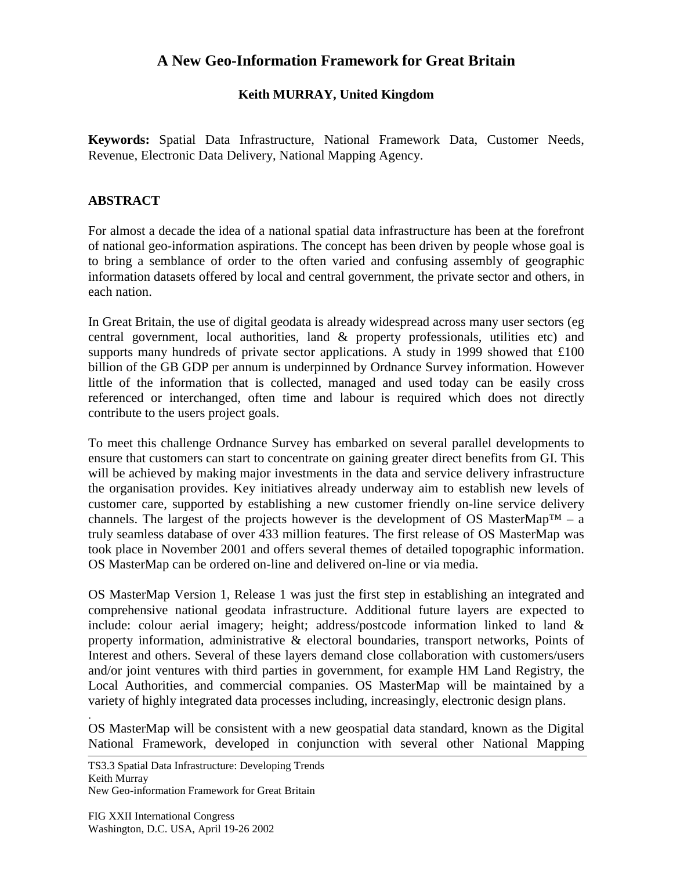## **A New Geo-Information Framework for Great Britain**

## **Keith MURRAY, United Kingdom**

**Keywords:** Spatial Data Infrastructure, National Framework Data, Customer Needs, Revenue, Electronic Data Delivery, National Mapping Agency.

## **ABSTRACT**

For almost a decade the idea of a national spatial data infrastructure has been at the forefront of national geo-information aspirations. The concept has been driven by people whose goal is to bring a semblance of order to the often varied and confusing assembly of geographic information datasets offered by local and central government, the private sector and others, in each nation.

In Great Britain, the use of digital geodata is already widespread across many user sectors (eg central government, local authorities, land & property professionals, utilities etc) and supports many hundreds of private sector applications. A study in 1999 showed that £100 billion of the GB GDP per annum is underpinned by Ordnance Survey information. However little of the information that is collected, managed and used today can be easily cross referenced or interchanged, often time and labour is required which does not directly contribute to the users project goals.

To meet this challenge Ordnance Survey has embarked on several parallel developments to ensure that customers can start to concentrate on gaining greater direct benefits from GI. This will be achieved by making major investments in the data and service delivery infrastructure the organisation provides. Key initiatives already underway aim to establish new levels of customer care, supported by establishing a new customer friendly on-line service delivery channels. The largest of the projects however is the development of OS MasterMap<sup>TM</sup> – a truly seamless database of over 433 million features. The first release of OS MasterMap was took place in November 2001 and offers several themes of detailed topographic information. OS MasterMap can be ordered on-line and delivered on-line or via media.

OS MasterMap Version 1, Release 1 was just the first step in establishing an integrated and comprehensive national geodata infrastructure. Additional future layers are expected to include: colour aerial imagery; height; address/postcode information linked to land & property information, administrative & electoral boundaries, transport networks, Points of Interest and others. Several of these layers demand close collaboration with customers/users and/or joint ventures with third parties in government, for example HM Land Registry, the Local Authorities, and commercial companies. OS MasterMap will be maintained by a variety of highly integrated data processes including, increasingly, electronic design plans.

OS MasterMap will be consistent with a new geospatial data standard, known as the Digital National Framework, developed in conjunction with several other National Mapping

TS3.3 Spatial Data Infrastructure: Developing Trends Keith Murray New Geo-information Framework for Great Britain

.